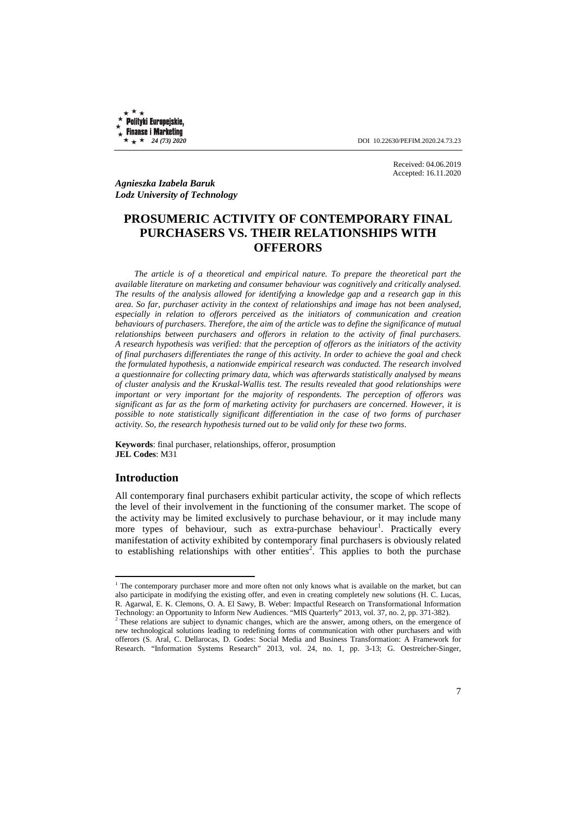Polityki Europejskie, **Finanse i Marketing** 

 $\star \star \star 24$  (73) 2020 **DOI** 10.22630/PEFIM.2020.24.73.23

Received: 04.06.2019 Accepted: 16.11.2020

*Agnieszka Izabela Baruk Lodz University of Technology* 

# **PROSUMERIC ACTIVITY OF CONTEMPORARY FINAL PURCHASERS VS. THEIR RELATIONSHIPS WITH OFFERORS**

*The article is of a theoretical and empirical nature. To prepare the theoretical part the available literature on marketing and consumer behaviour was cognitively and critically analysed. The results of the analysis allowed for identifying a knowledge gap and a research gap in this area. So far, purchaser activity in the context of relationships and image has not been analysed, especially in relation to offerors perceived as the initiators of communication and creation behaviours of purchasers. Therefore, the aim of the article was to define the significance of mutual relationships between purchasers and offerors in relation to the activity of final purchasers. A research hypothesis was verified: that the perception of offerors as the initiators of the activity of final purchasers differentiates the range of this activity. In order to achieve the goal and check the formulated hypothesis, a nationwide empirical research was conducted. The research involved a questionnaire for collecting primary data, which was afterwards statistically analysed by means of cluster analysis and the Kruskal-Wallis test. The results revealed that good relationships were important or very important for the majority of respondents. The perception of offerors was significant as far as the form of marketing activity for purchasers are concerned. However, it is possible to note statistically significant differentiation in the case of two forms of purchaser activity. So, the research hypothesis turned out to be valid only for these two forms*.

**Keywords**: final purchaser, relationships, offeror, prosumption **JEL Codes**: M31

### **Introduction**

l

All contemporary final purchasers exhibit particular activity, the scope of which reflects the level of their involvement in the functioning of the consumer market. The scope of the activity may be limited exclusively to purchase behaviour, or it may include many more types of behaviour, such as extra-purchase behaviour<sup>1</sup>. Practically every manifestation of activity exhibited by contemporary final purchasers is obviously related to establishing relationships with other entities<sup>2</sup>. This applies to both the purchase

<sup>&</sup>lt;sup>1</sup> The contemporary purchaser more and more often not only knows what is available on the market, but can also participate in modifying the existing offer, and even in creating completely new solutions (H. C. Lucas, R. Agarwal, E. K. Clemons, O. A. El Sawy, B. Weber: Impactful Research on Transformational Information Technology: an Opportunity to Inform New Audiences. "MIS Quarterly" 2013, vol. 37, no. 2, pp. 371-382).

<sup>&</sup>lt;sup>2</sup> These relations are subject to dynamic changes, which are the answer, among others, on the emergence of new technological solutions leading to redefining forms of communication with other purchasers and with offerors (S. Aral, C. Dellarocas, D. Godes: Social Media and Business Transformation: A Framework for Research. "Information Systems Research" 2013, vol. 24, no. 1, pp. 3-13; G. Oestreicher-Singer,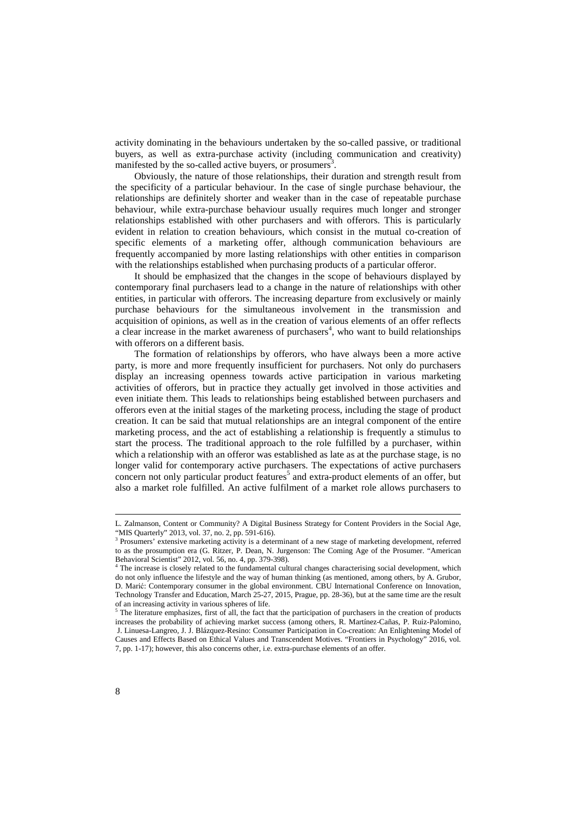activity dominating in the behaviours undertaken by the so-called passive, or traditional buyers, as well as extra-purchase activity (including communication and creativity) manifested by the so-called active buyers, or prosumers<sup>3</sup>.

Obviously, the nature of those relationships, their duration and strength result from the specificity of a particular behaviour. In the case of single purchase behaviour, the relationships are definitely shorter and weaker than in the case of repeatable purchase behaviour, while extra-purchase behaviour usually requires much longer and stronger relationships established with other purchasers and with offerors. This is particularly evident in relation to creation behaviours, which consist in the mutual co-creation of specific elements of a marketing offer, although communication behaviours are frequently accompanied by more lasting relationships with other entities in comparison with the relationships established when purchasing products of a particular offeror.

It should be emphasized that the changes in the scope of behaviours displayed by contemporary final purchasers lead to a change in the nature of relationships with other entities, in particular with offerors. The increasing departure from exclusively or mainly purchase behaviours for the simultaneous involvement in the transmission and acquisition of opinions, as well as in the creation of various elements of an offer reflects a clear increase in the market awareness of purchasers<sup>4</sup>, who want to build relationships with offerors on a different basis.

The formation of relationships by offerors, who have always been a more active party, is more and more frequently insufficient for purchasers. Not only do purchasers display an increasing openness towards active participation in various marketing activities of offerors, but in practice they actually get involved in those activities and even initiate them. This leads to relationships being established between purchasers and offerors even at the initial stages of the marketing process, including the stage of product creation. It can be said that mutual relationships are an integral component of the entire marketing process, and the act of establishing a relationship is frequently a stimulus to start the process. The traditional approach to the role fulfilled by a purchaser, within which a relationship with an offeror was established as late as at the purchase stage, is no longer valid for contemporary active purchasers. The expectations of active purchasers concern not only particular product features<sup>5</sup> and extra-product elements of an offer, but also a market role fulfilled. An active fulfilment of a market role allows purchasers to

l

L. Zalmanson, Content or Community? A Digital Business Strategy for Content Providers in the Social Age, "MIS Quarterly" 2013, vol. 37, no. 2, pp. 591-616).

<sup>&</sup>lt;sup>3</sup> Prosumers' extensive marketing activity is a determinant of a new stage of marketing development, referred to as the prosumption era (G. Ritzer, P. Dean, N. Jurgenson: The Coming Age of the Prosumer. "American Behavioral Scientist" 2012, vol. 56, no. 4, pp. 379-398).

<sup>&</sup>lt;sup>4</sup> The increase is closely related to the fundamental cultural changes characterising social development, which do not only influence the lifestyle and the way of human thinking (as mentioned, among others, by A. Grubor, D. Marić: Contemporary consumer in the global environment. CBU International Conference on Innovation, Technology Transfer and Education, March 25-27, 2015, Prague, pp. 28-36), but at the same time are the result of an increasing activity in various spheres of life.<br><sup>5</sup> The literature emphasizes, first of all, the fact the

The literature emphasizes, first of all, the fact that the participation of purchasers in the creation of products increases the probability of achieving market success (among others, R. Martínez-Cañas, P. Ruiz-Palomino, J. Linuesa-Langreo, J. J. Blázquez-Resino: Consumer Participation in Co-creation: An Enlightening Model of Causes and Effects Based on Ethical Values and Transcendent Motives. "Frontiers in Psychology" 2016, vol. 7, pp. 1-17); however, this also concerns other, i.e. extra-purchase elements of an offer.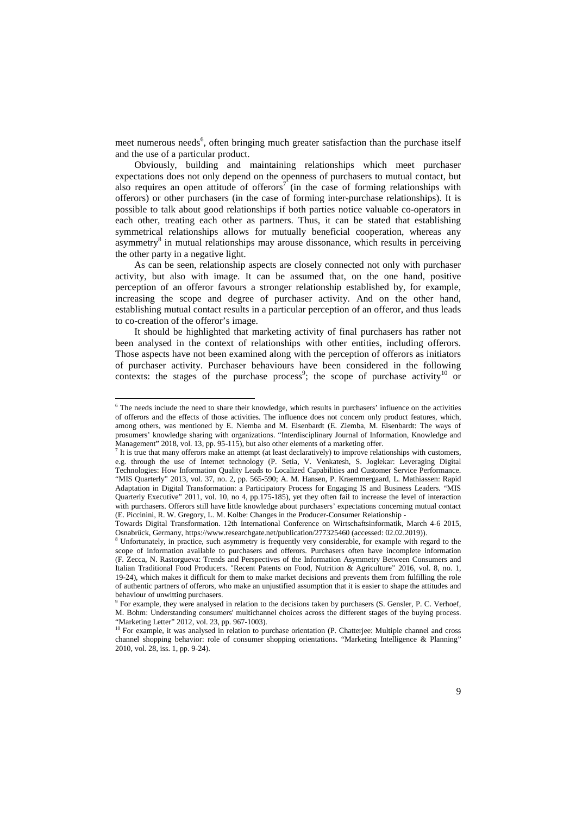meet numerous needs<sup>6</sup>, often bringing much greater satisfaction than the purchase itself and the use of a particular product.

Obviously, building and maintaining relationships which meet purchaser expectations does not only depend on the openness of purchasers to mutual contact, but also requires an open attitude of offerors<sup>7</sup> (in the case of forming relationships with offerors) or other purchasers (in the case of forming inter-purchase relationships). It is possible to talk about good relationships if both parties notice valuable co-operators in each other, treating each other as partners. Thus, it can be stated that establishing symmetrical relationships allows for mutually beneficial cooperation, whereas any asymmetry<sup>8</sup> in mutual relationships may arouse dissonance, which results in perceiving the other party in a negative light.

As can be seen, relationship aspects are closely connected not only with purchaser activity, but also with image. It can be assumed that, on the one hand, positive perception of an offeror favours a stronger relationship established by, for example, increasing the scope and degree of purchaser activity. And on the other hand, establishing mutual contact results in a particular perception of an offeror, and thus leads to co-creation of the offeror's image.

It should be highlighted that marketing activity of final purchasers has rather not been analysed in the context of relationships with other entities, including offerors. Those aspects have not been examined along with the perception of offerors as initiators of purchaser activity. Purchaser behaviours have been considered in the following contexts: the stages of the purchase process<sup>9</sup>; the scope of purchase activity<sup>10</sup> or

l

<sup>&</sup>lt;sup>6</sup> The needs include the need to share their knowledge, which results in purchasers' influence on the activities of offerors and the effects of those activities. The influence does not concern only product features, which, among others, was mentioned by E. Niemba and M. Eisenbardt (E. Ziemba, M. Eisenbardt: The ways of prosumers' knowledge sharing with organizations. "Interdisciplinary Journal of Information, Knowledge and Management" 2018, vol. 13, pp. 95-115), but also other elements of a marketing offer.

<sup>&</sup>lt;sup>7</sup> It is true that many offerors make an attempt (at least declaratively) to improve relationships with customers, e.g. through the use of Internet technology (P. Setia, V. Venkatesh, S. Joglekar: Leveraging Digital Technologies: How Information Quality Leads to Localized Capabilities and Customer Service Performance. "MIS Quarterly" 2013, vol. 37, no. 2, pp. 565-590; A. M. Hansen, P. Kraemmergaard, L. Mathiassen: Rapid Adaptation in Digital Transformation: a Participatory Process for Engaging IS and Business Leaders. "MIS Quarterly Executive" 2011, vol. 10, no 4, pp.175-185), yet they often fail to increase the level of interaction with purchasers. Offerors still have little knowledge about purchasers' expectations concerning mutual contact (E. Piccinini, R. W. Gregory, L. M. Kolbe: Changes in the Producer-Consumer Relationship -

Towards Digital Transformation. 12th International Conference on Wirtschaftsinformatik, March 4-6 2015, Osnabrück, Germany, https://www.researchgate.net/publication/277325460 (accessed: 02.02.2019)).

<sup>8</sup> Unfortunately, in practice, such asymmetry is frequently very considerable, for example with regard to the scope of information available to purchasers and offerors. Purchasers often have incomplete information (F. Zecca, N. Rastorgueva: Trends and Perspectives of the Information Asymmetry Between Consumers and Italian Traditional Food Producers. "Recent Patents on Food, Nutrition & Agriculture" 2016, vol. 8, no. 1, 19-24), which makes it difficult for them to make market decisions and prevents them from fulfilling the role of authentic partners of offerors, who make an unjustified assumption that it is easier to shape the attitudes and behaviour of unwitting purchasers.

<sup>&</sup>lt;sup>9</sup> For example, they were analysed in relation to the decisions taken by purchasers (S. Gensler, P. C. Verhoef, M. Bohm: Understanding consumers' multichannel choices across the different stages of the buying process. "Marketing Letter" 2012, vol. 23, pp. 967-1003).

<sup>&</sup>lt;sup>10</sup> For example, it was analysed in relation to purchase orientation (P. Chatterjee: Multiple channel and cross channel shopping behavior: role of consumer shopping orientations. "Marketing Intelligence & Planning" 2010, vol. 28, iss. 1, pp. 9-24).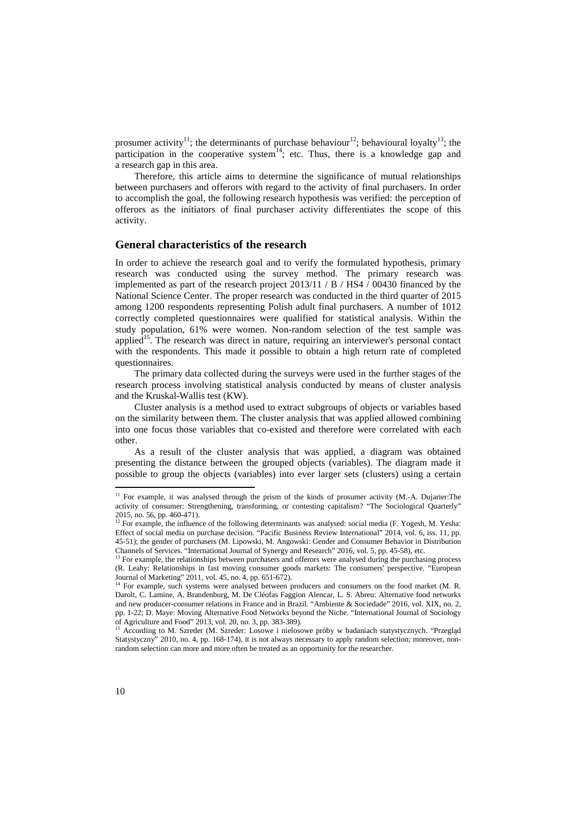prosumer activity<sup>11</sup>; the determinants of purchase behaviour<sup>12</sup>; behavioural loyalty<sup>13</sup>; the participation in the cooperative system<sup>14</sup>; etc. Thus, there is a knowledge gap and a research gap in this area.

Therefore, this article aims to determine the significance of mutual relationships between purchasers and offerors with regard to the activity of final purchasers. In order to accomplish the goal, the following research hypothesis was verified: the perception of offerors as the initiators of final purchaser activity differentiates the scope of this activity.

### **General characteristics of the research**

In order to achieve the research goal and to verify the formulated hypothesis, primary research was conducted using the survey method. The primary research was implemented as part of the research project 2013/11 / B / HS4 / 00430 financed by the National Science Center. The proper research was conducted in the third quarter of 2015 among 1200 respondents representing Polish adult final purchasers. A number of 1012 correctly completed questionnaires were qualified for statistical analysis. Within the study population, 61% were women. Non-random selection of the test sample was applied<sup>15</sup>. The research was direct in nature, requiring an interviewer's personal contact with the respondents. This made it possible to obtain a high return rate of completed questionnaires.

The primary data collected during the surveys were used in the further stages of the research process involving statistical analysis conducted by means of cluster analysis and the Kruskal-Wallis test (KW).

Cluster analysis is a method used to extract subgroups of objects or variables based on the similarity between them. The cluster analysis that was applied allowed combining into one focus those variables that co-existed and therefore were correlated with each other.

As a result of the cluster analysis that was applied, a diagram was obtained presenting the distance between the grouped objects (variables). The diagram made it possible to group the objects (variables) into ever larger sets (clusters) using a certain Į

<sup>&</sup>lt;sup>11</sup> For example, it was analysed through the prism of the kinds of prosumer activity (M.-A. Dujarier:The activity of consumer: Strengthening, transforming, or contesting capitalism? "The Sociological Quarterly" 2015, no. 56, pp. 460-471).

<sup>&</sup>lt;sup>12</sup> For example, the influence of the following determinants was analysed: social media (F. Yogesh, M. Yesha: Effect of social media on purchase decision. "Pacific Business Review International" 2014, vol. 6, iss. 11, pp. 45-51); the gender of purchasers (M. Lipowski, M. Angowski: Gender and Consumer Behavior in Distribution Channels of Services. "International Journal of Synergy and Research" 2016, vol. 5, pp. 45-58), etc.

<sup>&</sup>lt;sup>13</sup> For example, the relationships between purchasers and offerors were analysed during the purchasing process (R. Leahy: Relationships in fast moving consumer goods markets: The consumers' perspective. "European Journal of Marketing" 2011, vol. 45, no. 4, pp. 651-672).

<sup>&</sup>lt;sup>14</sup> For example, such systems were analysed between producers and consumers on the food market (M. R. Darolt, C. Lamine, A. Brandenburg, M. De Cléofas Faggion Alencar, L. S. Abreu: Alternative food networks and new producer-consumer relations in France and in Brazil. "Ambiente & Sociedade" 2016, vol. XIX, no. 2, pp. 1-22; D. Maye: Moving Alternative Food Networks beyond the Niche. "International Journal of Sociology of Agriculture and Food" 2013, vol. 20, no. 3, pp. 383-389).

<sup>&</sup>lt;sup>15</sup> According to M. Szreder (M. Szreder: Losowe i nielosowe próby w badaniach statystycznych. "Przegląd Statystyczny" 2010, no. 4, pp. 168-174), it is not always necessary to apply random selection; moreover, nonrandom selection can more and more often be treated as an opportunity for the researcher.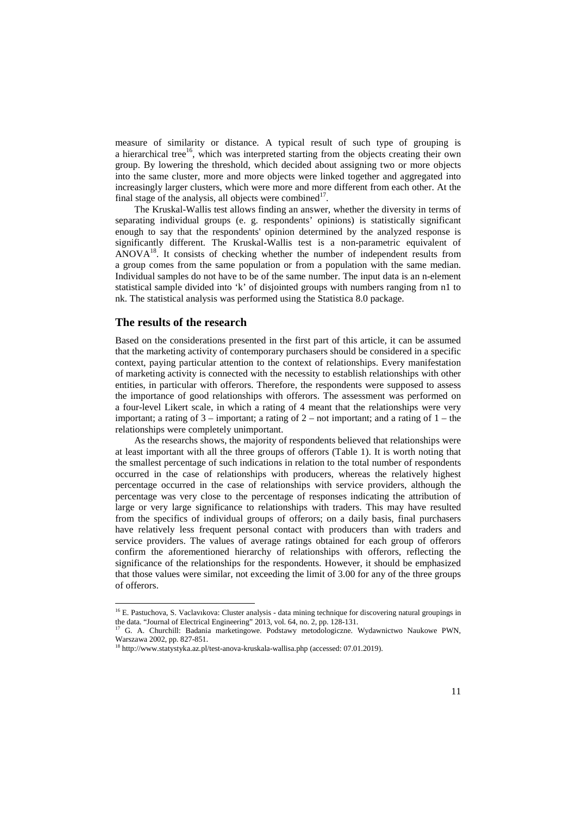measure of similarity or distance. A typical result of such type of grouping is a hierarchical tree<sup>16</sup>, which was interpreted starting from the objects creating their own group. By lowering the threshold, which decided about assigning two or more objects into the same cluster, more and more objects were linked together and aggregated into increasingly larger clusters, which were more and more different from each other. At the final stage of the analysis, all objects were combined $1^7$ .

The Kruskal-Wallis test allows finding an answer, whether the diversity in terms of separating individual groups (e. g. respondents' opinions) is statistically significant enough to say that the respondents' opinion determined by the analyzed response is significantly different. The Kruskal-Wallis test is a non-parametric equivalent of  $ANOVA<sup>18</sup>$ . It consists of checking whether the number of independent results from a group comes from the same population or from a population with the same median. Individual samples do not have to be of the same number. The input data is an n-element statistical sample divided into 'k' of disjointed groups with numbers ranging from n1 to nk. The statistical analysis was performed using the Statistica 8.0 package.

### **The results of the research**

 $\overline{a}$ 

Based on the considerations presented in the first part of this article, it can be assumed that the marketing activity of contemporary purchasers should be considered in a specific context, paying particular attention to the context of relationships. Every manifestation of marketing activity is connected with the necessity to establish relationships with other entities, in particular with offerors. Therefore, the respondents were supposed to assess the importance of good relationships with offerors. The assessment was performed on a four-level Likert scale, in which a rating of 4 meant that the relationships were very important; a rating of  $3$  – important; a rating of  $2$  – not important; and a rating of  $1$  – the relationships were completely unimportant.

As the researchs shows, the majority of respondents believed that relationships were at least important with all the three groups of offerors (Table 1). It is worth noting that the smallest percentage of such indications in relation to the total number of respondents occurred in the case of relationships with producers, whereas the relatively highest percentage occurred in the case of relationships with service providers, although the percentage was very close to the percentage of responses indicating the attribution of large or very large significance to relationships with traders. This may have resulted from the specifics of individual groups of offerors; on a daily basis, final purchasers have relatively less frequent personal contact with producers than with traders and service providers. The values of average ratings obtained for each group of offerors confirm the aforementioned hierarchy of relationships with offerors, reflecting the significance of the relationships for the respondents. However, it should be emphasized that those values were similar, not exceeding the limit of 3.00 for any of the three groups of offerors.

<sup>&</sup>lt;sup>16</sup> E. Pastuchova, S. Vaclavıkova: Cluster analysis - data mining technique for discovering natural groupings in the data. "Journal of Electrical Engineering" 2013, vol. 64, no. 2, pp. 128-131.

<sup>&</sup>lt;sup>17</sup> G. A. Churchill: Badania marketingowe. Podstawy metodologiczne. Wydawnictwo Naukowe PWN, Warszawa 2002, pp. 827-851.<br><sup>18</sup> http://www.statystyka.az.pl/test-anova-kruskala-wallisa.php (accessed: 07.01.2019).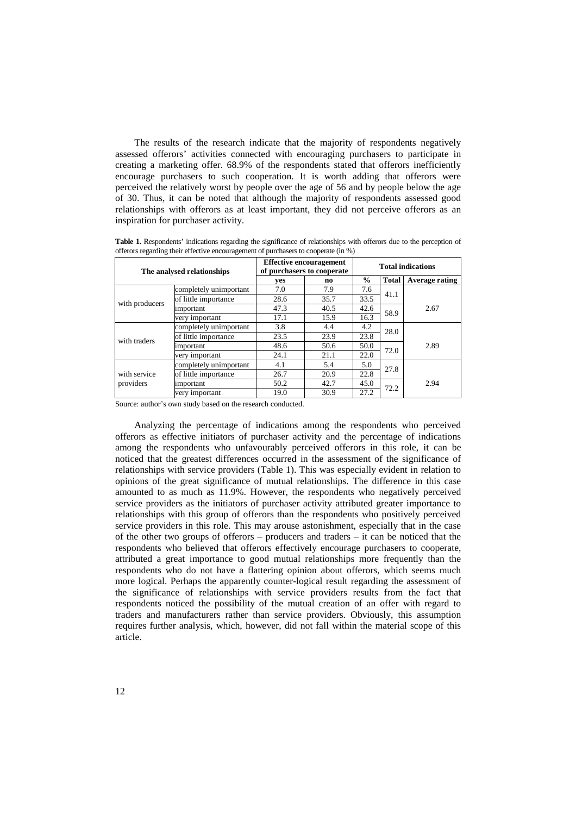The results of the research indicate that the majority of respondents negatively assessed offerors' activities connected with encouraging purchasers to participate in creating a marketing offer. 68.9% of the respondents stated that offerors inefficiently encourage purchasers to such cooperation. It is worth adding that offerors were perceived the relatively worst by people over the age of 56 and by people below the age of 30. Thus, it can be noted that although the majority of respondents assessed good relationships with offerors as at least important, they did not perceive offerors as an inspiration for purchaser activity.

**Table 1.** Respondents' indications regarding the significance of relationships with offerors due to the perception of offerors regarding their effective encouragement of purchasers to cooperate (in %)

| The analysed relationships |                        | <b>Effective encouragement</b><br>of purchasers to cooperate |      | <b>Total indications</b> |              |                |
|----------------------------|------------------------|--------------------------------------------------------------|------|--------------------------|--------------|----------------|
|                            |                        | ves                                                          | no   | $\frac{6}{9}$            | <b>Total</b> | Average rating |
| with producers             | completely unimportant | 7.0                                                          | 7.9  | 7.6                      | 41.1         |                |
|                            | of little importance   | 28.6                                                         | 35.7 | 33.5                     |              |                |
|                            | important              | 47.3                                                         | 40.5 | 42.6                     | 58.9         | 2.67           |
|                            | very important         | 17.1                                                         | 15.9 | 16.3                     |              |                |
| with traders               | completely unimportant | 3.8                                                          | 4.4  | 4.2                      | 28.0         |                |
|                            | of little importance   | 23.5                                                         | 23.9 | 23.8                     |              |                |
|                            | important              | 48.6                                                         | 50.6 | 50.0                     | 72.0         | 2.89           |
|                            | very important         | 24.1                                                         | 21.1 | 22.0                     |              |                |
| with service<br>providers  | completely unimportant | 4.1                                                          | 5.4  | 5.0                      | 27.8         |                |
|                            | of little importance   | 26.7                                                         | 20.9 | 22.8                     |              |                |
|                            | important              | 50.2                                                         | 42.7 | 45.0                     | 72.2         | 2.94           |
|                            | very important         | 19.0                                                         | 30.9 | 27.2                     |              |                |

Source: author's own study based on the research conducted.

Analyzing the percentage of indications among the respondents who perceived offerors as effective initiators of purchaser activity and the percentage of indications among the respondents who unfavourably perceived offerors in this role, it can be noticed that the greatest differences occurred in the assessment of the significance of relationships with service providers (Table 1). This was especially evident in relation to opinions of the great significance of mutual relationships. The difference in this case amounted to as much as 11.9%. However, the respondents who negatively perceived service providers as the initiators of purchaser activity attributed greater importance to relationships with this group of offerors than the respondents who positively perceived service providers in this role. This may arouse astonishment, especially that in the case of the other two groups of offerors – producers and traders – it can be noticed that the respondents who believed that offerors effectively encourage purchasers to cooperate, attributed a great importance to good mutual relationships more frequently than the respondents who do not have a flattering opinion about offerors, which seems much more logical. Perhaps the apparently counter-logical result regarding the assessment of the significance of relationships with service providers results from the fact that respondents noticed the possibility of the mutual creation of an offer with regard to traders and manufacturers rather than service providers. Obviously, this assumption requires further analysis, which, however, did not fall within the material scope of this article.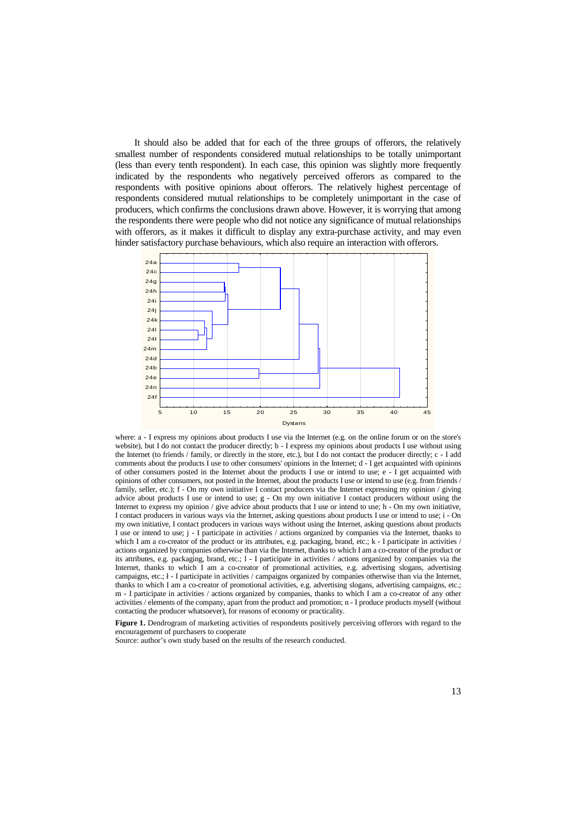It should also be added that for each of the three groups of offerors, the relatively smallest number of respondents considered mutual relationships to be totally unimportant (less than every tenth respondent). In each case, this opinion was slightly more frequently indicated by the respondents who negatively perceived offerors as compared to the respondents with positive opinions about offerors. The relatively highest percentage of respondents considered mutual relationships to be completely unimportant in the case of producers, which confirms the conclusions drawn above. However, it is worrying that among the respondents there were people who did not notice any significance of mutual relationships with offerors, as it makes it difficult to display any extra-purchase activity, and may even hinder satisfactory purchase behaviours, which also require an interaction with offerors.



where: a - I express my opinions about products I use via the Internet (e.g. on the online forum or on the store's website), but I do not contact the producer directly; b - I express my opinions about products I use without using the Internet (to friends / family, or directly in the store, etc.), but I do not contact the producer directly; c - I add comments about the products I use to other consumers' opinions in the Internet; d - I get acquainted with opinions of other consumers posted in the Internet about the products I use or intend to use; e - I get acquainted with opinions of other consumers, not posted in the Internet, about the products I use or intend to use (e.g. from friends / family, seller, etc.); f - On my own initiative I contact producers via the Internet expressing my opinion / giving advice about products I use or intend to use; g - On my own initiative I contact producers without using the Internet to express my opinion / give advice about products that I use or intend to use; h - On my own initiative, I contact producers in various ways via the Internet, asking questions about products I use or intend to use; i - On my own initiative, I contact producers in various ways without using the Internet, asking questions about products I use or intend to use; j - I participate in activities / actions organized by companies via the Internet, thanks to which I am a co-creator of the product or its attributes, e.g. packaging, brand, etc.; k - I participate in activities / actions organized by companies otherwise than via the Internet, thanks to which I am a co-creator of the product or its attributes, e.g. packaging, brand, etc.; l - I participate in activities / actions organized by companies via the Internet, thanks to which I am a co-creator of promotional activities, e.g. advertising slogans, advertising campaigns, etc.; ł - I participate in activities / campaigns organized by companies otherwise than via the Internet, thanks to which I am a co-creator of promotional activities, e.g. advertising slogans, advertising campaigns, etc.; m - I participate in activities / actions organized by companies, thanks to which I am a co-creator of any other activities / elements of the company, apart from the product and promotion; n - I produce products myself (without contacting the producer whatsoever), for reasons of economy or practicality.

**Figure 1.** Dendrogram of marketing activities of respondents positively perceiving offerors with regard to the encouragement of purchasers to cooperate

Source: author's own study based on the results of the research conducted.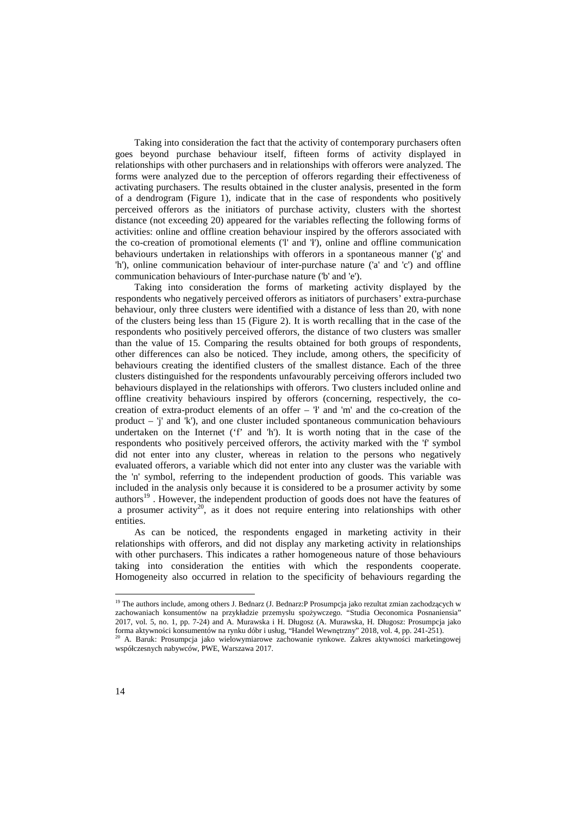Taking into consideration the fact that the activity of contemporary purchasers often goes beyond purchase behaviour itself, fifteen forms of activity displayed in relationships with other purchasers and in relationships with offerors were analyzed. The forms were analyzed due to the perception of offerors regarding their effectiveness of activating purchasers. The results obtained in the cluster analysis, presented in the form of a dendrogram (Figure 1), indicate that in the case of respondents who positively perceived offerors as the initiators of purchase activity, clusters with the shortest distance (not exceeding 20) appeared for the variables reflecting the following forms of activities: online and offline creation behaviour inspired by the offerors associated with the co-creation of promotional elements ('l' and 'ł'), online and offline communication behaviours undertaken in relationships with offerors in a spontaneous manner ('g' and 'h'), online communication behaviour of inter-purchase nature ('a' and 'c') and offline communication behaviours of Inter-purchase nature ('b' and 'e').

Taking into consideration the forms of marketing activity displayed by the respondents who negatively perceived offerors as initiators of purchasers' extra-purchase behaviour, only three clusters were identified with a distance of less than 20, with none of the clusters being less than 15 (Figure 2). It is worth recalling that in the case of the respondents who positively perceived offerors, the distance of two clusters was smaller than the value of 15. Comparing the results obtained for both groups of respondents, other differences can also be noticed. They include, among others, the specificity of behaviours creating the identified clusters of the smallest distance. Each of the three clusters distinguished for the respondents unfavourably perceiving offerors included two behaviours displayed in the relationships with offerors. Two clusters included online and offline creativity behaviours inspired by offerors (concerning, respectively, the cocreation of extra-product elements of an offer – 'ł' and 'm' and the co-creation of the product – 'j' and 'k'), and one cluster included spontaneous communication behaviours undertaken on the Internet ('f' and 'h'). It is worth noting that in the case of the respondents who positively perceived offerors, the activity marked with the 'f' symbol did not enter into any cluster, whereas in relation to the persons who negatively evaluated offerors, a variable which did not enter into any cluster was the variable with the 'n' symbol, referring to the independent production of goods. This variable was included in the analysis only because it is considered to be a prosumer activity by some authors<sup>19</sup>. However, the independent production of goods does not have the features of a prosumer activity<sup>20</sup>, as it does not require entering into relationships with other entities.

As can be noticed, the respondents engaged in marketing activity in their relationships with offerors, and did not display any marketing activity in relationships with other purchasers. This indicates a rather homogeneous nature of those behaviours taking into consideration the entities with which the respondents cooperate. Homogeneity also occurred in relation to the specificity of behaviours regarding the

l

<sup>&</sup>lt;sup>19</sup> The authors include, among others J. Bednarz (J. Bednarz:P Prosumpcja jako rezultat zmian zachodzących w zachowaniach konsumentów na przykładzie przemysłu spożywczego. "Studia Oeconomica Posnaniensia" 2017, vol. 5, no. 1, pp. 7-24) and A. Murawska i H. Długosz (A. Murawska, H. Długosz: Prosumpcja jako forma aktywności konsumentów na rynku dóbr i usług, "Handel Wewnętrzny" 2018, vol. 4, pp. 241-251).

<sup>20</sup> A. Baruk: Prosumpcja jako wielowymiarowe zachowanie rynkowe. Zakres aktywności marketingowej współczesnych nabywców, PWE, Warszawa 2017.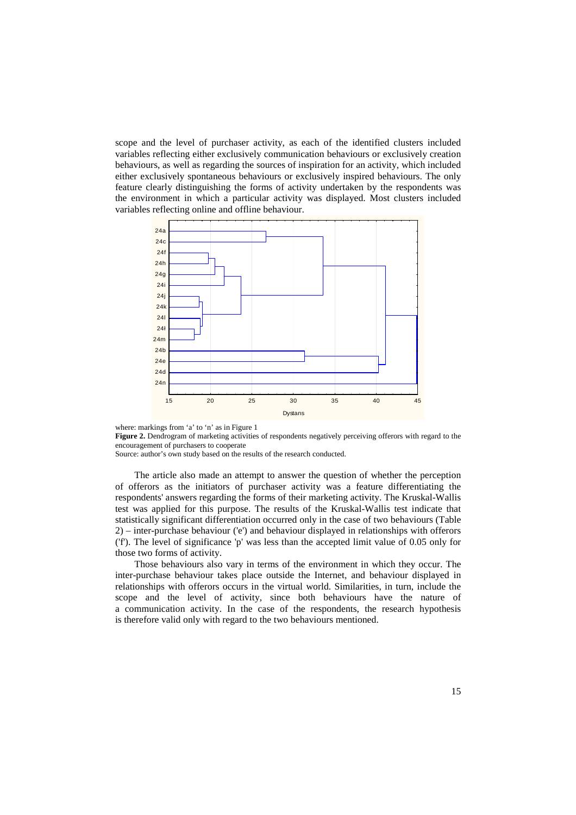scope and the level of purchaser activity, as each of the identified clusters included variables reflecting either exclusively communication behaviours or exclusively creation behaviours, as well as regarding the sources of inspiration for an activity, which included either exclusively spontaneous behaviours or exclusively inspired behaviours. The only feature clearly distinguishing the forms of activity undertaken by the respondents was the environment in which a particular activity was displayed. Most clusters included variables reflecting online and offline behaviour.



where: markings from 'a' to 'n' as in Figure 1

**Figure 2.** Dendrogram of marketing activities of respondents negatively perceiving offerors with regard to the encouragement of purchasers to cooperate

Source: author's own study based on the results of the research conducted.

The article also made an attempt to answer the question of whether the perception of offerors as the initiators of purchaser activity was a feature differentiating the respondents' answers regarding the forms of their marketing activity. The Kruskal-Wallis test was applied for this purpose. The results of the Kruskal-Wallis test indicate that statistically significant differentiation occurred only in the case of two behaviours (Table 2) – inter-purchase behaviour ('e') and behaviour displayed in relationships with offerors ('f'). The level of significance 'p' was less than the accepted limit value of 0.05 only for those two forms of activity.

Those behaviours also vary in terms of the environment in which they occur. The inter-purchase behaviour takes place outside the Internet, and behaviour displayed in relationships with offerors occurs in the virtual world. Similarities, in turn, include the scope and the level of activity, since both behaviours have the nature of a communication activity. In the case of the respondents, the research hypothesis is therefore valid only with regard to the two behaviours mentioned.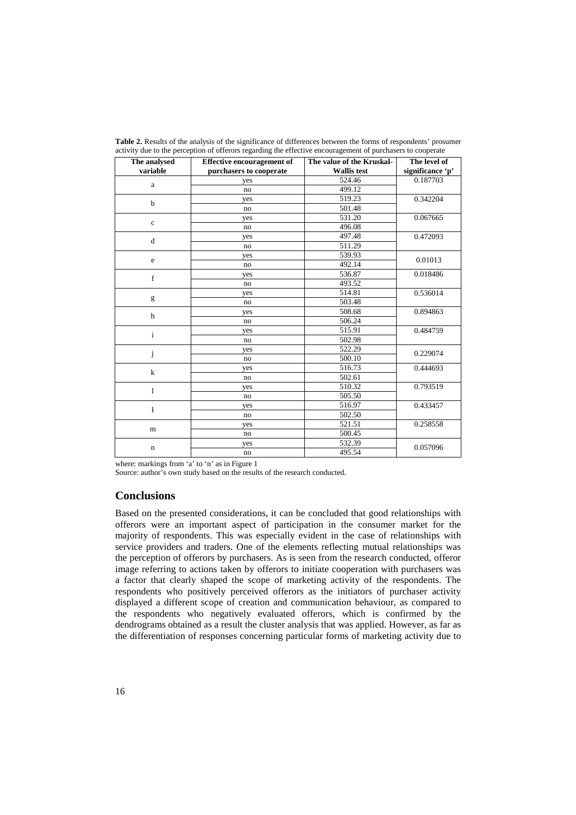| The analysed | <b>Effective encouragement of</b> | The value of the Kruskal- | The level of     |
|--------------|-----------------------------------|---------------------------|------------------|
| variable     | purchasers to cooperate           | <b>Wallis</b> test        | significance 'p' |
| $\mathbf a$  | yes                               | 524.46                    | 0.187703         |
|              | no                                | $\overline{499.12}$       |                  |
| $\mathbf b$  | yes                               | 519.23                    | 0.342204         |
|              | no                                | 501.48                    |                  |
| $\mathbf c$  | yes                               | 531.20                    | 0.067665         |
|              | no                                | 496.08                    |                  |
| d            | yes                               | 497.48                    | 0.472093         |
|              | no                                | 511.29                    |                  |
| e            | yes                               | 539.93                    | 0.01013          |
|              | no                                | 492.14                    |                  |
| f            | yes                               | 536.87                    | 0.018486         |
|              | no                                | 493.52                    |                  |
|              | yes                               | 514.81                    | 0.536014         |
| g            | no                                | 503.48                    |                  |
|              | yes                               | 508.68                    | 0.894863         |
| $\mathbf h$  | no                                | 506.24                    |                  |
|              | yes                               | 515.91                    | 0.484759         |
| $\mathbf{i}$ | no                                | 502.98                    |                  |
|              | yes                               | 522.29                    | 0.229074         |
| j            | no                                | 500.10                    |                  |
| $\bf k$      | yes                               | 516.73                    | 0.444693         |
|              | no                                | 502.61                    |                  |
| $\mathbf{1}$ | yes                               | 510.32                    | 0.793519         |
|              | no                                | 505.50                    |                  |
|              | yes                               | 516.97                    | 0.433457         |
| ł            | no                                | 502.50                    |                  |
|              | yes                               | 521.51                    | 0.258558         |
| m            | no                                | 500.45                    |                  |
|              | yes                               | 532.39                    | 0.057096         |
| $\mathbf n$  | no                                | 495.54                    |                  |

**Table 2.** Results of the analysis of the significance of differences between the forms of respondents' prosumer activity due to the perception of offerors regarding the effective encouragement of purchasers to cooperate

where: markings from 'a' to 'n' as in Figure 1

Source: author's own study based on the results of the research conducted.

## **Conclusions**

Based on the presented considerations, it can be concluded that good relationships with offerors were an important aspect of participation in the consumer market for the majority of respondents. This was especially evident in the case of relationships with service providers and traders. One of the elements reflecting mutual relationships was the perception of offerors by purchasers. As is seen from the research conducted, offeror image referring to actions taken by offerors to initiate cooperation with purchasers was a factor that clearly shaped the scope of marketing activity of the respondents. The respondents who positively perceived offerors as the initiators of purchaser activity displayed a different scope of creation and communication behaviour, as compared to the respondents who negatively evaluated offerors, which is confirmed by the dendrograms obtained as a result the cluster analysis that was applied. However, as far as the differentiation of responses concerning particular forms of marketing activity due to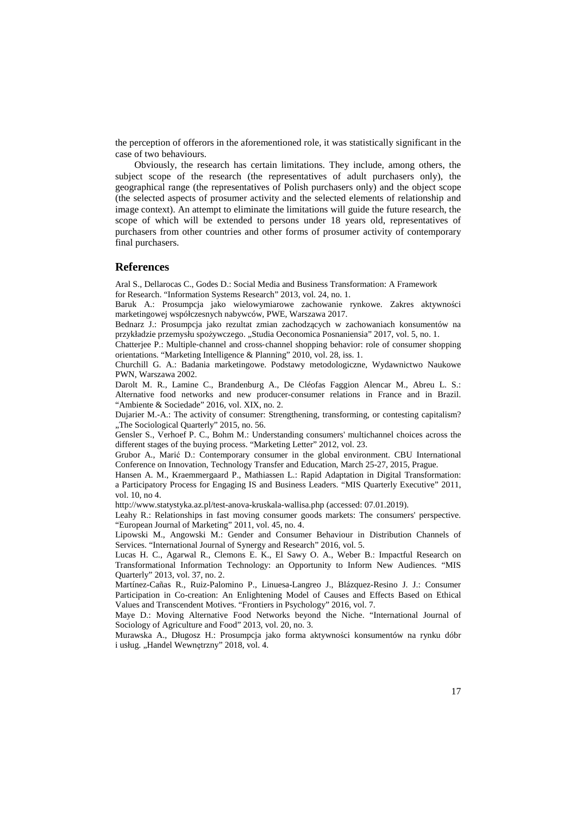the perception of offerors in the aforementioned role, it was statistically significant in the case of two behaviours.

Obviously, the research has certain limitations. They include, among others, the subject scope of the research (the representatives of adult purchasers only), the geographical range (the representatives of Polish purchasers only) and the object scope (the selected aspects of prosumer activity and the selected elements of relationship and image context). An attempt to eliminate the limitations will guide the future research, the scope of which will be extended to persons under 18 years old, representatives of purchasers from other countries and other forms of prosumer activity of contemporary final purchasers.

#### **References**

Aral S., Dellarocas C., Godes D.: Social Media and Business Transformation: A Framework for Research. "Information Systems Research" 2013, vol. 24, no. 1.

Baruk A.: Prosumpcja jako wielowymiarowe zachowanie rynkowe. Zakres aktywności marketingowej współczesnych nabywców, PWE, Warszawa 2017.

Bednarz J.: Prosumpcja jako rezultat zmian zachodzących w zachowaniach konsumentów na przykładzie przemysłu spożywczego. "Studia Oeconomica Posnaniensia" 2017, vol. 5, no. 1.

Chatterjee P.: Multiple‐channel and cross‐channel shopping behavior: role of consumer shopping orientations. "Marketing Intelligence & Planning" 2010, vol. 28, iss. 1.

Churchill G. A.: Badania marketingowe. Podstawy metodologiczne, Wydawnictwo Naukowe PWN, Warszawa 2002.

Darolt M. R., Lamine C., Brandenburg A., De Cléofas Faggion Alencar M., Abreu L. S.: Alternative food networks and new producer-consumer relations in France and in Brazil. "Ambiente & Sociedade" 2016, vol. XIX, no. 2.

Dujarier M.-A.: The activity of consumer: Strengthening, transforming, or contesting capitalism? "The Sociological Quarterly" 2015, no. 56.

Gensler S., Verhoef P. C., Bohm M.: Understanding consumers' multichannel choices across the different stages of the buying process. "Marketing Letter" 2012, vol. 23.

Grubor A., Marić D.: Contemporary consumer in the global environment. CBU International Conference on Innovation, Technology Transfer and Education, March 25-27, 2015, Prague.

Hansen A. M., Kraemmergaard P., Mathiassen L.: Rapid Adaptation in Digital Transformation: a Participatory Process for Engaging IS and Business Leaders. "MIS Quarterly Executive" 2011, vol. 10, no 4.

http://www.statystyka.az.pl/test-anova-kruskala-wallisa.php (accessed: 07.01.2019).

Leahy R.: Relationships in fast moving consumer goods markets: The consumers' perspective. "European Journal of Marketing" 2011, vol. 45, no. 4.

Lipowski M., Angowski M.: Gender and Consumer Behaviour in Distribution Channels of Services. "International Journal of Synergy and Research" 2016, vol. 5.

Lucas H. C., Agarwal R., Clemons E. K., El Sawy O. A., Weber B.: Impactful Research on Transformational Information Technology: an Opportunity to Inform New Audiences. "MIS Quarterly" 2013, vol. 37, no. 2.

Martínez-Cañas R., Ruiz-Palomino P., Linuesa-Langreo J., Blázquez-Resino J. J.: Consumer Participation in Co-creation: An Enlightening Model of Causes and Effects Based on Ethical Values and Transcendent Motives. "Frontiers in Psychology" 2016, vol. 7.

Maye D.: Moving Alternative Food Networks beyond the Niche. "International Journal of Sociology of Agriculture and Food" 2013, vol. 20, no. 3.

Murawska A., Długosz H.: Prosumpcja jako forma aktywności konsumentów na rynku dóbr i usług. "Handel Wewnętrzny" 2018, vol. 4.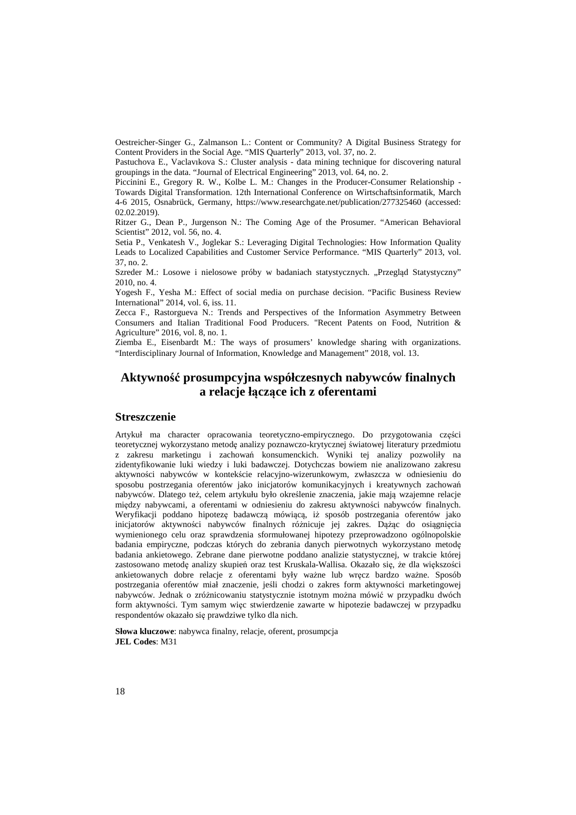Oestreicher-Singer G., Zalmanson L.: Content or Community? A Digital Business Strategy for Content Providers in the Social Age. "MIS Quarterly" 2013, vol. 37, no. 2.

Pastuchova E., Vaclavıkova S.: Cluster analysis - data mining technique for discovering natural groupings in the data. "Journal of Electrical Engineering" 2013, vol. 64, no. 2.

Piccinini E., Gregory R. W., Kolbe L. M.: Changes in the Producer-Consumer Relationship - Towards Digital Transformation. 12th International Conference on Wirtschaftsinformatik, March 4-6 2015, Osnabrück, Germany, https://www.researchgate.net/publication/277325460 (accessed: 02.02.2019).

Ritzer G., Dean P., Jurgenson N.: The Coming Age of the Prosumer. "American Behavioral Scientist" 2012, vol. 56, no. 4.

Setia P., Venkatesh V., Joglekar S.: Leveraging Digital Technologies: How Information Quality Leads to Localized Capabilities and Customer Service Performance. "MIS Quarterly" 2013, vol. 37, no. 2.

Szreder M.: Losowe i nielosowe próby w badaniach statystycznych. "Przegląd Statystyczny" 2010, no. 4.

Yogesh F., Yesha M.: Effect of social media on purchase decision. "Pacific Business Review International" 2014, vol. 6, iss. 11.

Zecca F., Rastorgueva N.: Trends and Perspectives of the Information Asymmetry Between Consumers and Italian Traditional Food Producers. "Recent Patents on Food, Nutrition & Agriculture" 2016, vol. 8, no. 1.

Ziemba E., Eisenbardt M.: The ways of prosumers' knowledge sharing with organizations. "Interdisciplinary Journal of Information, Knowledge and Management" 2018, vol. 13.

## **Aktywność prosumpcyjna współczesnych nabywców finalnych a relacje łączące ich z oferentami**

#### **Streszczenie**

Artykuł ma character opracowania teoretyczno-empirycznego. Do przygotowania części teoretycznej wykorzystano metodę analizy poznawczo-krytycznej światowej literatury przedmiotu z zakresu marketingu i zachowań konsumenckich. Wyniki tej analizy pozwoliły na zidentyfikowanie luki wiedzy i luki badawczej. Dotychczas bowiem nie analizowano zakresu aktywności nabywców w kontekście relacyjno-wizerunkowym, zwłaszcza w odniesieniu do sposobu postrzegania oferentów jako inicjatorów komunikacyjnych i kreatywnych zachowań nabywców. Dlatego też, celem artykułu było określenie znaczenia, jakie mają wzajemne relacje między nabywcami, a oferentami w odniesieniu do zakresu aktywności nabywców finalnych. Weryfikacji poddano hipotezę badawczą mówiącą, iż sposób postrzegania oferentów jako inicjatorów aktywności nabywców finalnych różnicuje jej zakres. Dążąc do osiągnięcia wymienionego celu oraz sprawdzenia sformułowanej hipotezy przeprowadzono ogólnopolskie badania empiryczne, podczas których do zebrania danych pierwotnych wykorzystano metodę badania ankietowego. Zebrane dane pierwotne poddano analizie statystycznej, w trakcie której zastosowano metodę analizy skupień oraz test Kruskala-Wallisa. Okazało się, że dla większości ankietowanych dobre relacje z oferentami były ważne lub wręcz bardzo ważne. Sposób postrzegania oferentów miał znaczenie, jeśli chodzi o zakres form aktywności marketingowej nabywców. Jednak o zróżnicowaniu statystycznie istotnym można mówić w przypadku dwóch form aktywności. Tym samym więc stwierdzenie zawarte w hipotezie badawczej w przypadku respondentów okazało się prawdziwe tylko dla nich.

**Słowa kluczowe**: nabywca finalny, relacje, oferent, prosumpcja **JEL Codes**: M31